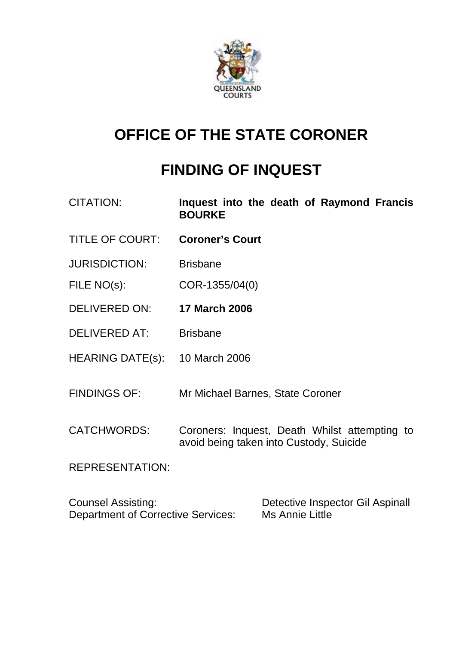

## **OFFICE OF THE STATE CORONER**

# **FINDING OF INQUEST**

| <b>CITATION:</b>                                                       | Inquest into the death of Raymond Francis<br><b>BOURKE</b>                               |
|------------------------------------------------------------------------|------------------------------------------------------------------------------------------|
| <b>TITLE OF COURT:</b>                                                 | <b>Coroner's Court</b>                                                                   |
| <b>JURISDICTION:</b>                                                   | <b>Brisbane</b>                                                                          |
| FILE NO(s):                                                            | COR-1355/04(0)                                                                           |
| <b>DELIVERED ON:</b>                                                   | <b>17 March 2006</b>                                                                     |
| <b>DELIVERED AT:</b>                                                   | <b>Brisbane</b>                                                                          |
| HEARING DATE(s): 10 March 2006                                         |                                                                                          |
| <b>FINDINGS OF:</b>                                                    | Mr Michael Barnes, State Coroner                                                         |
| <b>CATCHWORDS:</b>                                                     | Coroners: Inquest, Death Whilst attempting to<br>avoid being taken into Custody, Suicide |
| <b>REPRESENTATION:</b>                                                 |                                                                                          |
| <b>Counsel Assisting:</b><br><b>Department of Corrective Services:</b> | Detective Inspector Gil Aspinall<br><b>Ms Annie Little</b>                               |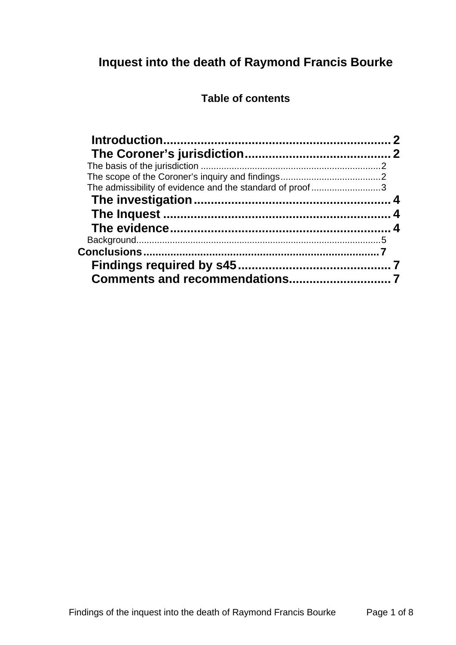## **Inquest into the death of Raymond Francis Bourke**

## **Table of contents**

| The admissibility of evidence and the standard of proof3 |  |
|----------------------------------------------------------|--|
|                                                          |  |
|                                                          |  |
|                                                          |  |
|                                                          |  |
|                                                          |  |
|                                                          |  |
|                                                          |  |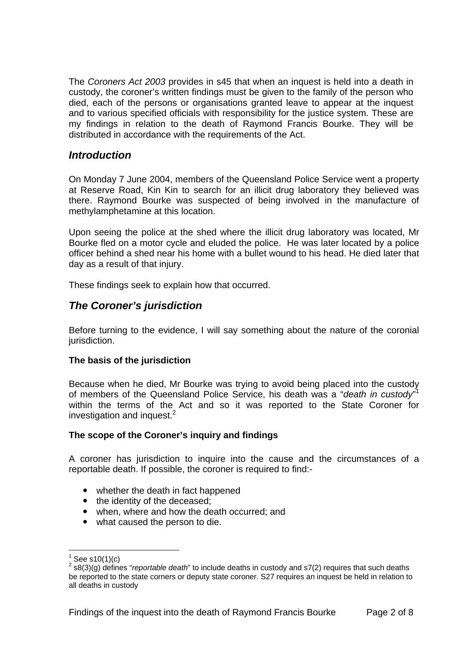The *Coroners Act 2003* provides in s45 that when an inquest is held into a death in custody, the coroner's written findings must be given to the family of the person who died, each of the persons or organisations granted leave to appear at the inquest and to various specified officials with responsibility for the justice system. These are my findings in relation to the death of Raymond Francis Bourke. They will be distributed in accordance with the requirements of the Act.

## *Introduction*

On Monday 7 June 2004, members of the Queensland Police Service went a property at Reserve Road, Kin Kin to search for an illicit drug laboratory they believed was there. Raymond Bourke was suspected of being involved in the manufacture of methylamphetamine at this location.

Upon seeing the police at the shed where the illicit drug laboratory was located, Mr Bourke fled on a motor cycle and eluded the police. He was later located by a police officer behind a shed near his home with a bullet wound to his head. He died later that day as a result of that injury.

These findings seek to explain how that occurred.

## *The Coroner's jurisdiction*

Before turning to the evidence, I will say something about the nature of the coronial jurisdiction.

#### **The basis of the jurisdiction**

Because when he died, Mr Bourke was trying to avoid being placed into the custody of members of the Queensland Police Service, his death was a "*death in custody*" 1 within the terms of the Act and so it was reported to the State Coroner for investigation and inquest. $2$ 

#### **The scope of the Coroner's inquiry and findings**

A coroner has jurisdiction to inquire into the cause and the circumstances of a reportable death. If possible, the coroner is required to find:-

- whether the death in fact happened
- the identity of the deceased:
- when, where and how the death occurred; and
- what caused the person to die.

l

<sup>1</sup> See s10(1)(c)

<sup>2</sup> s8(3)(g) defines "*reportable death*" to include deaths in custody and s7(2) requires that such deaths be reported to the state corners or deputy state coroner. S27 requires an inquest be held in relation to all deaths in custody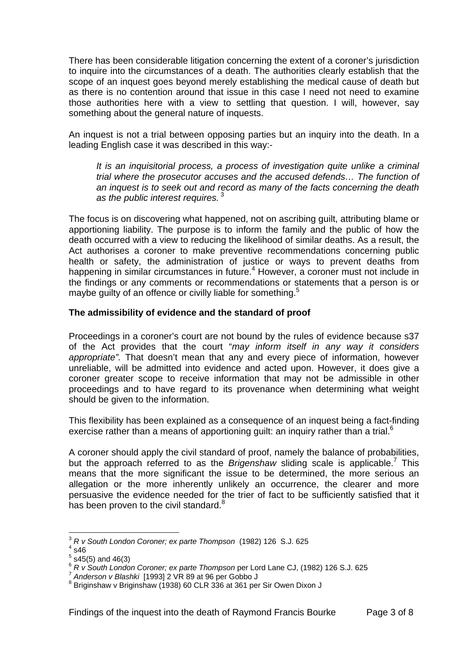There has been considerable litigation concerning the extent of a coroner's jurisdiction to inquire into the circumstances of a death. The authorities clearly establish that the scope of an inquest goes beyond merely establishing the medical cause of death but as there is no contention around that issue in this case I need not need to examine those authorities here with a view to settling that question. I will, however, say something about the general nature of inquests.

An inquest is not a trial between opposing parties but an inquiry into the death. In a leading English case it was described in this way:-

*It is an inquisitorial process, a process of investigation quite unlike a criminal trial where the prosecutor accuses and the accused defends… The function of an inquest is to seek out and record as many of the facts concerning the death as the public interest requires.*<sup>3</sup>

The focus is on discovering what happened, not on ascribing guilt, attributing blame or apportioning liability. The purpose is to inform the family and the public of how the death occurred with a view to reducing the likelihood of similar deaths. As a result, the Act authorises a coroner to make preventive recommendations concerning public health or safety, the administration of justice or ways to prevent deaths from happening in similar circumstances in future.<sup>4</sup> However, a coroner must not include in the findings or any comments or recommendations or statements that a person is or maybe guilty of an offence or civilly liable for something.<sup>5</sup>

#### **The admissibility of evidence and the standard of proof**

Proceedings in a coroner's court are not bound by the rules of evidence because s37 of the Act provides that the court "*may inform itself in any way it considers appropriate".* That doesn't mean that any and every piece of information, however unreliable, will be admitted into evidence and acted upon. However, it does give a coroner greater scope to receive information that may not be admissible in other proceedings and to have regard to its provenance when determining what weight should be given to the information.

This flexibility has been explained as a consequence of an inquest being a fact-finding exercise rather than a means of apportioning guilt: an inquiry rather than a trial. $6$ 

A coroner should apply the civil standard of proof, namely the balance of probabilities, but the approach referred to as the *Brigenshaw* sliding scale is applicable.<sup>7</sup> This means that the more significant the issue to be determined, the more serious an allegation or the more inherently unlikely an occurrence, the clearer and more persuasive the evidence needed for the trier of fact to be sufficiently satisfied that it has been proven to the civil standard. $8$ 

l

<sup>3</sup> *R v South London Coroner; ex parte Thompson* (1982) 126 S.J. 625 4

 $4\overline{\phantom{0}}$ s46

 $5$  s45(5) and 46(3)

<sup>6</sup> *R v South London Coroner; ex parte Thompson* per Lord Lane CJ, (1982) 126 S.J. 625 7 *Anderson v Blashki* [1993] 2 VR 89 at 96 per Gobbo J 8

<sup>&</sup>lt;sup>8</sup> Briginshaw v Briginshaw (1938) 60 CLR 336 at 361 per Sir Owen Dixon J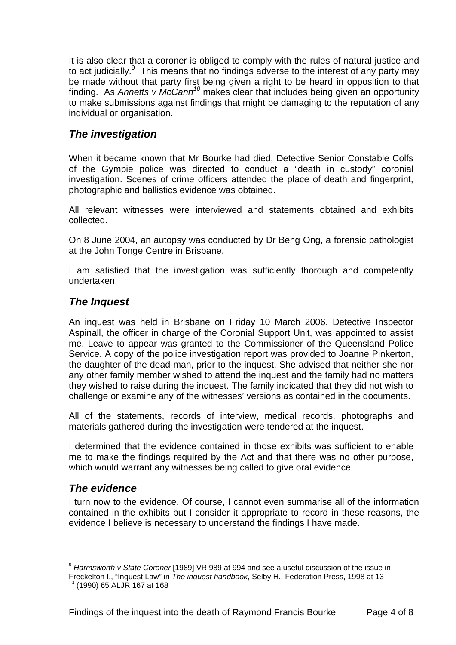It is also clear that a coroner is obliged to comply with the rules of natural justice and to act judicially.<sup>9</sup> This means that no findings adverse to the interest of any party may be made without that party first being given a right to be heard in opposition to that finding. As *Annetts v McCann<sup>10</sup>* makes clear that includes being given an opportunity to make submissions against findings that might be damaging to the reputation of any individual or organisation.

## *The investigation*

When it became known that Mr Bourke had died, Detective Senior Constable Colfs of the Gympie police was directed to conduct a "death in custody" coronial investigation. Scenes of crime officers attended the place of death and fingerprint, photographic and ballistics evidence was obtained.

All relevant witnesses were interviewed and statements obtained and exhibits collected.

On 8 June 2004, an autopsy was conducted by Dr Beng Ong, a forensic pathologist at the John Tonge Centre in Brisbane.

I am satisfied that the investigation was sufficiently thorough and competently undertaken.

## *The Inquest*

An inquest was held in Brisbane on Friday 10 March 2006. Detective Inspector Aspinall, the officer in charge of the Coronial Support Unit, was appointed to assist me. Leave to appear was granted to the Commissioner of the Queensland Police Service. A copy of the police investigation report was provided to Joanne Pinkerton, the daughter of the dead man, prior to the inquest. She advised that neither she nor any other family member wished to attend the inquest and the family had no matters they wished to raise during the inquest. The family indicated that they did not wish to challenge or examine any of the witnesses' versions as contained in the documents.

All of the statements, records of interview, medical records, photographs and materials gathered during the investigation were tendered at the inquest.

I determined that the evidence contained in those exhibits was sufficient to enable me to make the findings required by the Act and that there was no other purpose, which would warrant any witnesses being called to give oral evidence.

## *The evidence*

I turn now to the evidence. Of course, I cannot even summarise all of the information contained in the exhibits but I consider it appropriate to record in these reasons, the evidence I believe is necessary to understand the findings I have made.

l <sup>9</sup> *Harmsworth v State Coroner* [1989] VR 989 at 994 and see a useful discussion of the issue in Freckelton I., "Inquest Law" in *The inquest handbook*, Selby H., Federation Press, 1998 at 13 10 (1990) 65 ALJR 167 at 168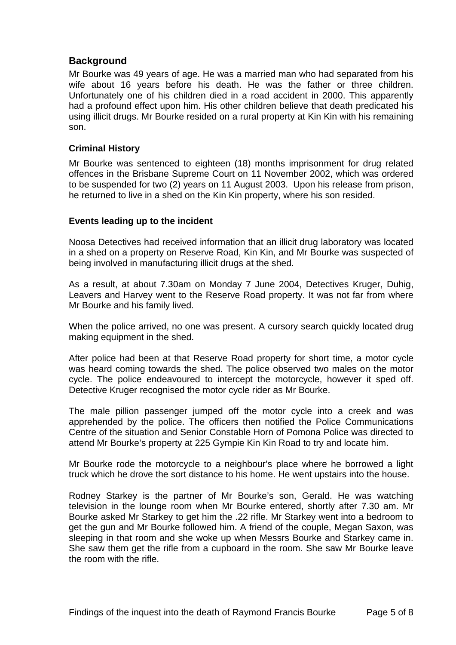## **Background**

Mr Bourke was 49 years of age. He was a married man who had separated from his wife about 16 years before his death. He was the father or three children. Unfortunately one of his children died in a road accident in 2000. This apparently had a profound effect upon him. His other children believe that death predicated his using illicit drugs. Mr Bourke resided on a rural property at Kin Kin with his remaining son.

#### **Criminal History**

Mr Bourke was sentenced to eighteen (18) months imprisonment for drug related offences in the Brisbane Supreme Court on 11 November 2002, which was ordered to be suspended for two (2) years on 11 August 2003. Upon his release from prison, he returned to live in a shed on the Kin Kin property, where his son resided.

#### **Events leading up to the incident**

Noosa Detectives had received information that an illicit drug laboratory was located in a shed on a property on Reserve Road, Kin Kin, and Mr Bourke was suspected of being involved in manufacturing illicit drugs at the shed.

As a result, at about 7.30am on Monday 7 June 2004, Detectives Kruger, Duhig, Leavers and Harvey went to the Reserve Road property. It was not far from where Mr Bourke and his family lived.

When the police arrived, no one was present. A cursory search quickly located drug making equipment in the shed.

After police had been at that Reserve Road property for short time, a motor cycle was heard coming towards the shed. The police observed two males on the motor cycle. The police endeavoured to intercept the motorcycle, however it sped off. Detective Kruger recognised the motor cycle rider as Mr Bourke.

The male pillion passenger jumped off the motor cycle into a creek and was apprehended by the police. The officers then notified the Police Communications Centre of the situation and Senior Constable Horn of Pomona Police was directed to attend Mr Bourke's property at 225 Gympie Kin Kin Road to try and locate him.

Mr Bourke rode the motorcycle to a neighbour's place where he borrowed a light truck which he drove the sort distance to his home. He went upstairs into the house.

Rodney Starkey is the partner of Mr Bourke's son, Gerald. He was watching television in the lounge room when Mr Bourke entered, shortly after 7.30 am. Mr Bourke asked Mr Starkey to get him the .22 rifle. Mr Starkey went into a bedroom to get the gun and Mr Bourke followed him. A friend of the couple, Megan Saxon, was sleeping in that room and she woke up when Messrs Bourke and Starkey came in. She saw them get the rifle from a cupboard in the room. She saw Mr Bourke leave the room with the rifle.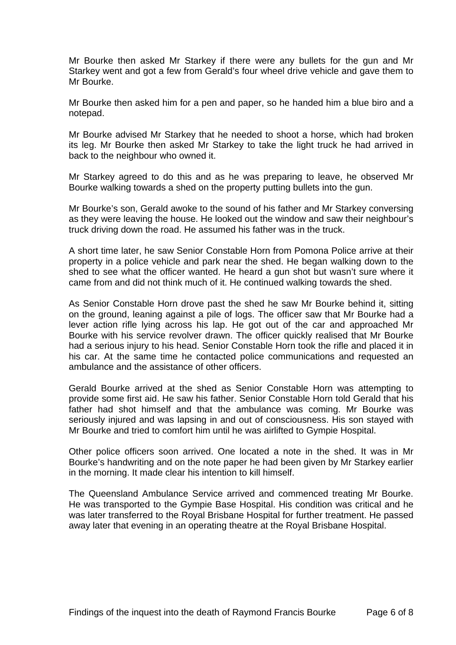Mr Bourke then asked Mr Starkey if there were any bullets for the gun and Mr Starkey went and got a few from Gerald's four wheel drive vehicle and gave them to Mr Bourke.

Mr Bourke then asked him for a pen and paper, so he handed him a blue biro and a notepad.

Mr Bourke advised Mr Starkey that he needed to shoot a horse, which had broken its leg. Mr Bourke then asked Mr Starkey to take the light truck he had arrived in back to the neighbour who owned it.

Mr Starkey agreed to do this and as he was preparing to leave, he observed Mr Bourke walking towards a shed on the property putting bullets into the gun.

Mr Bourke's son, Gerald awoke to the sound of his father and Mr Starkey conversing as they were leaving the house. He looked out the window and saw their neighbour's truck driving down the road. He assumed his father was in the truck.

A short time later, he saw Senior Constable Horn from Pomona Police arrive at their property in a police vehicle and park near the shed. He began walking down to the shed to see what the officer wanted. He heard a gun shot but wasn't sure where it came from and did not think much of it. He continued walking towards the shed.

As Senior Constable Horn drove past the shed he saw Mr Bourke behind it, sitting on the ground, leaning against a pile of logs. The officer saw that Mr Bourke had a lever action rifle lying across his lap. He got out of the car and approached Mr Bourke with his service revolver drawn. The officer quickly realised that Mr Bourke had a serious injury to his head. Senior Constable Horn took the rifle and placed it in his car. At the same time he contacted police communications and requested an ambulance and the assistance of other officers.

Gerald Bourke arrived at the shed as Senior Constable Horn was attempting to provide some first aid. He saw his father. Senior Constable Horn told Gerald that his father had shot himself and that the ambulance was coming. Mr Bourke was seriously injured and was lapsing in and out of consciousness. His son stayed with Mr Bourke and tried to comfort him until he was airlifted to Gympie Hospital.

Other police officers soon arrived. One located a note in the shed. It was in Mr Bourke's handwriting and on the note paper he had been given by Mr Starkey earlier in the morning. It made clear his intention to kill himself.

The Queensland Ambulance Service arrived and commenced treating Mr Bourke. He was transported to the Gympie Base Hospital. His condition was critical and he was later transferred to the Royal Brisbane Hospital for further treatment. He passed away later that evening in an operating theatre at the Royal Brisbane Hospital.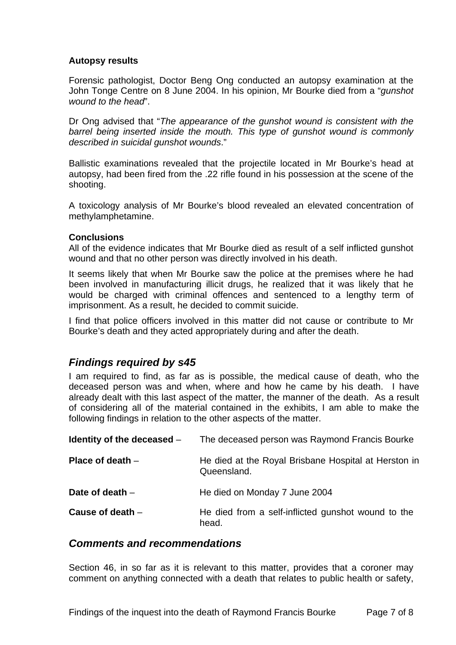#### **Autopsy results**

Forensic pathologist, Doctor Beng Ong conducted an autopsy examination at the John Tonge Centre on 8 June 2004. In his opinion, Mr Bourke died from a "*gunshot wound to the head*".

Dr Ong advised that "*The appearance of the gunshot wound is consistent with the barrel being inserted inside the mouth. This type of gunshot wound is commonly described in suicidal gunshot wounds*."

Ballistic examinations revealed that the projectile located in Mr Bourke's head at autopsy, had been fired from the .22 rifle found in his possession at the scene of the shooting.

A toxicology analysis of Mr Bourke's blood revealed an elevated concentration of methylamphetamine.

#### **Conclusions**

All of the evidence indicates that Mr Bourke died as result of a self inflicted gunshot wound and that no other person was directly involved in his death.

It seems likely that when Mr Bourke saw the police at the premises where he had been involved in manufacturing illicit drugs, he realized that it was likely that he would be charged with criminal offences and sentenced to a lengthy term of imprisonment. As a result, he decided to commit suicide.

I find that police officers involved in this matter did not cause or contribute to Mr Bourke's death and they acted appropriately during and after the death.

### *Findings required by s45*

I am required to find, as far as is possible, the medical cause of death, who the deceased person was and when, where and how he came by his death. I have already dealt with this last aspect of the matter, the manner of the death. As a result of considering all of the material contained in the exhibits, I am able to make the following findings in relation to the other aspects of the matter.

| Identity of the deceased $-$ | The deceased person was Raymond Francis Bourke                      |
|------------------------------|---------------------------------------------------------------------|
| Place of death $-$           | He died at the Royal Brisbane Hospital at Herston in<br>Queensland. |
| Date of death $-$            | He died on Monday 7 June 2004                                       |
| Cause of death $-$           | He died from a self-inflicted gunshot wound to the<br>head.         |

### *Comments and recommendations*

Section 46, in so far as it is relevant to this matter, provides that a coroner may comment on anything connected with a death that relates to public health or safety,